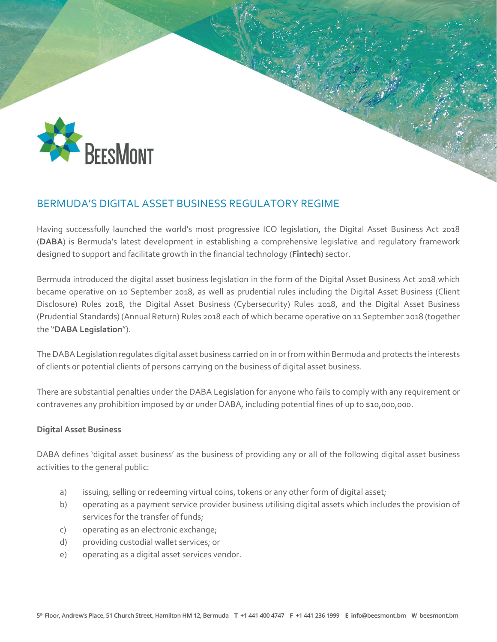

# BERMUDA'S DIGITAL ASSET BUSINESS REGULATORY REGIME

Having successfully launched the world's most progressive ICO legislation, the Digital Asset Business Act 2018 (**DABA**) is Bermuda's latest development in establishing a comprehensive legislative and regulatory framework designed to support and facilitate growth in the financial technology (**Fintech**) sector.

Bermuda introduced the digital asset business legislation in the form of the Digital Asset Business Act 2018 which became operative on 10 September 2018, as well as prudential rules including the Digital Asset Business (Client Disclosure) Rules 2018, the Digital Asset Business (Cybersecurity) Rules 2018, and the Digital Asset Business (Prudential Standards) (Annual Return) Rules 2018 each of which became operative on 11 September 2018 (together the "**DABA Legislation**").

The DABALegislation regulates digital asset business carried on in or from within Bermuda and protects the interests of clients or potential clients of persons carrying on the business of digital asset business.

There are substantial penalties under the DABA Legislation for anyone who fails to comply with any requirement or contravenes any prohibition imposed by or under DABA, including potential fines of up to \$10,000,000.

## **Digital Asset Business**

DABA defines 'digital asset business' as the business of providing any or all of the following digital asset business activities to the general public:

- a) issuing, selling or redeeming virtual coins, tokens or any other form of digital asset;
- b) operating as a payment service provider business utilising digital assets which includes the provision of services for the transfer of funds;
- c) operating as an electronic exchange;
- d) providing custodial wallet services; or
- e) operating as a digital asset services vendor.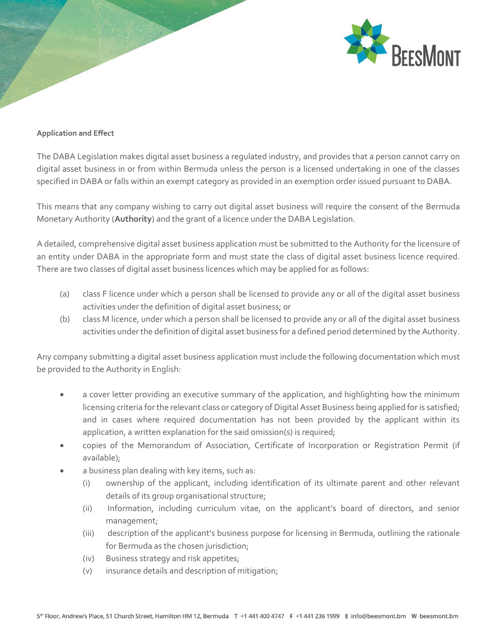

#### **Application and Effect**

The DABA Legislation makes digital asset business a regulated industry, and provides that a person cannot carry on digital asset business in or from within Bermuda unless the person is a licensed undertaking in one of the classes specified in DABA or falls within an exempt category as provided in an exemption order issued pursuant to DABA.

This means that any company wishing to carry out digital asset business will require the consent of the Bermuda Monetary Authority (**Authority**) and the grant of a licence under the DABA Legislation.

A detailed, comprehensive digital asset business application must be submitted to the Authority for the licensure of an entity under DABA in the appropriate form and must state the class of digital asset business licence required. There are two classes of digital asset business licences which may be applied for as follows:

- (a) class F licence under which a person shall be licensed to provide any or all of the digital asset business activities under the definition of digital asset business; or
- (b) class M licence, under which a person shall be licensed to provide any or all of the digital asset business activities under the definition of digital asset business for a defined period determined by the Authority.

Any company submitting a digital asset business application must include the following documentation which must be provided to the Authority in English:

- a cover letter providing an executive summary of the application, and highlighting how the minimum licensing criteria for the relevant class or category of Digital Asset Business being applied for is satisfied; and in cases where required documentation has not been provided by the applicant within its application, a written explanation for the said omission(s) is required;
- copies of the Memorandum of Association, Certificate of Incorporation or Registration Permit (if available);
- a business plan dealing with key items, such as:
	- (i) ownership of the applicant, including identification of its ultimate parent and other relevant details of its group organisational structure;
	- (ii) Information, including curriculum vitae, on the applicant's board of directors, and senior management;
	- (iii) description of the applicant's business purpose for licensing in Bermuda, outlining the rationale for Bermuda as the chosen jurisdiction;
	- (iv) Business strategy and risk appetites;
	- (v) insurance details and description of mitigation;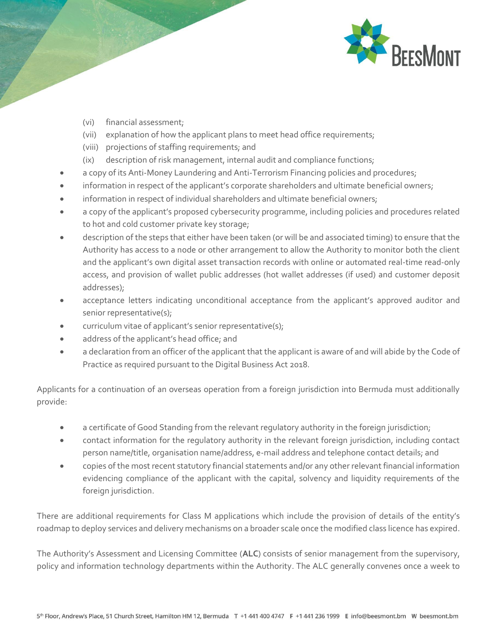

- (vi) financial assessment;
- (vii) explanation of how the applicant plans to meet head office requirements;
- (viii) projections of staffing requirements; and
- (ix) description of risk management, internal audit and compliance functions;
- a copy of its Anti-Money Laundering and Anti-Terrorism Financing policies and procedures;
- information in respect of the applicant's corporate shareholders and ultimate beneficial owners;
- information in respect of individual shareholders and ultimate beneficial owners;
- a copy of the applicant's proposed cybersecurity programme, including policies and procedures related to hot and cold customer private key storage;
- description of the steps that either have been taken (or will be and associated timing) to ensure that the Authority has access to a node or other arrangement to allow the Authority to monitor both the client and the applicant's own digital asset transaction records with online or automated real-time read-only access, and provision of wallet public addresses (hot wallet addresses (if used) and customer deposit addresses);
- acceptance letters indicating unconditional acceptance from the applicant's approved auditor and senior representative(s);
- curriculum vitae of applicant's senior representative(s);
- address of the applicant's head office; and
- a declaration from an officer of the applicant that the applicant is aware of and will abide by the Code of Practice as required pursuant to the Digital Business Act 2018.

Applicants for a continuation of an overseas operation from a foreign jurisdiction into Bermuda must additionally provide:

- a certificate of Good Standing from the relevant regulatory authority in the foreign jurisdiction;
- contact information for the regulatory authority in the relevant foreign jurisdiction, including contact person name/title, organisation name/address, e-mail address and telephone contact details; and
- copies of the most recent statutory financial statements and/or any other relevant financial information evidencing compliance of the applicant with the capital, solvency and liquidity requirements of the foreign jurisdiction.

There are additional requirements for Class M applications which include the provision of details of the entity's roadmap to deploy services and delivery mechanisms on a broader scale once the modified class licence has expired.

The Authority's Assessment and Licensing Committee (**ALC**) consists of senior management from the supervisory, policy and information technology departments within the Authority. The ALC generally convenes once a week to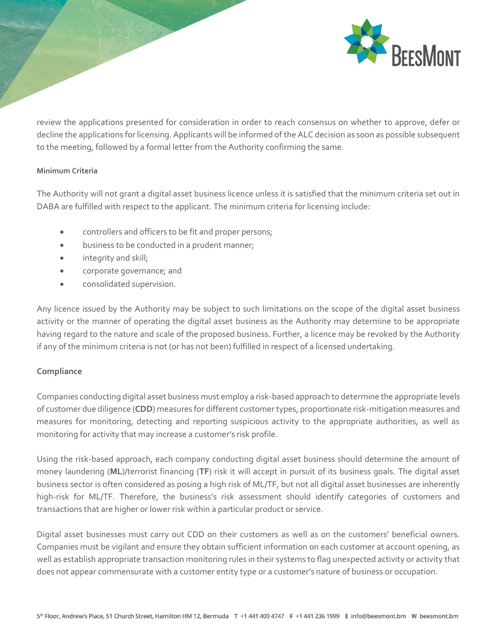

review the applications presented for consideration in order to reach consensus on whether to approve, defer or decline the applications for licensing. Applicants will be informed of the ALC decision as soon as possible subsequent to the meeting, followed by a formal letter from the Authority confirming the same.

### **Minimum Criteria**

The Authority will not grant a digital asset business licence unless it is satisfied that the minimum criteria set out in DABA are fulfilled with respect to the applicant. The minimum criteria for licensing include:

- controllers and officers to be fit and proper persons;
- **•** business to be conducted in a prudent manner;
- **•** integrity and skill;
- corporate governance; and
- consolidated supervision.

Any licence issued by the Authority may be subject to such limitations on the scope of the digital asset business activity or the manner of operating the digital asset business as the Authority may determine to be appropriate having regard to the nature and scale of the proposed business. Further, a licence may be revoked by the Authority if any of the minimum criteria is not (or has not been) fulfilled in respect of a licensed undertaking.

## **Compliance**

Companies conducting digital asset business must employ a risk-based approach to determine the appropriate levels of customer due diligence (**CDD**) measures for different customer types, proportionate risk-mitigation measures and measures for monitoring, detecting and reporting suspicious activity to the appropriate authorities, as well as monitoring for activity that may increase a customer's risk profile.

Using the risk-based approach, each company conducting digital asset business should determine the amount of money laundering (**ML**)/terrorist financing (**TF**) risk it will accept in pursuit of its business goals. The digital asset business sector is often considered as posing a high risk of ML/TF, but not all digital asset businesses are inherently high-risk for ML/TF. Therefore, the business's risk assessment should identify categories of customers and transactions that are higher or lower risk within a particular product or service.

Digital asset businesses must carry out CDD on their customers as well as on the customers' beneficial owners. Companies must be vigilant and ensure they obtain sufficient information on each customer at account opening, as well as establish appropriate transaction monitoring rules in their systems to flag unexpected activity or activity that does not appear commensurate with a customer entity type or a customer's nature of business or occupation.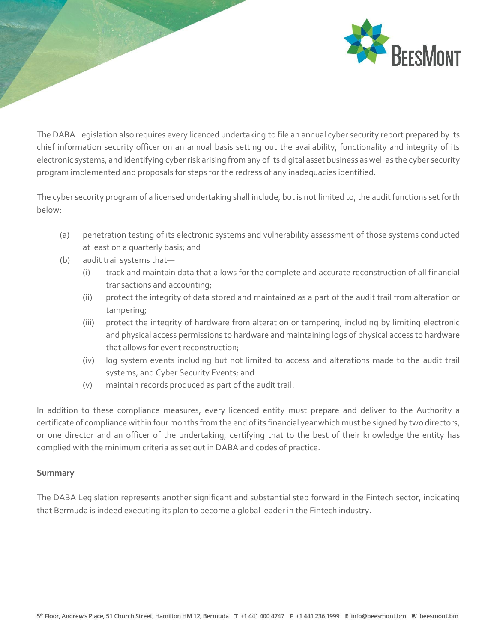

The DABA Legislation also requires every licenced undertaking to file an annual cyber security report prepared by its chief information security officer on an annual basis setting out the availability, functionality and integrity of its electronic systems, and identifying cyber risk arising from any of its digital asset business as well as the cyber security program implemented and proposals for steps for the redress of any inadequacies identified.

The cyber security program of a licensed undertaking shall include, but is not limited to, the audit functions set forth below:

- (a) penetration testing of its electronic systems and vulnerability assessment of those systems conducted at least on a quarterly basis; and
- (b) audit trail systems that—
	- (i) track and maintain data that allows for the complete and accurate reconstruction of all financial transactions and accounting;
	- (ii) protect the integrity of data stored and maintained as a part of the audit trail from alteration or tampering;
	- (iii) protect the integrity of hardware from alteration or tampering, including by limiting electronic and physical access permissions to hardware and maintaining logs of physical access to hardware that allows for event reconstruction;
	- (iv) log system events including but not limited to access and alterations made to the audit trail systems, and Cyber Security Events; and
	- (v) maintain records produced as part of the audit trail.

In addition to these compliance measures, every licenced entity must prepare and deliver to the Authority a certificate of compliance within four months from the end of its financial year which must be signed by two directors, or one director and an officer of the undertaking, certifying that to the best of their knowledge the entity has complied with the minimum criteria as set out in DABA and codes of practice.

## **Summary**

The DABA Legislation represents another significant and substantial step forward in the Fintech sector, indicating that Bermuda is indeed executing its plan to become a global leader in the Fintech industry.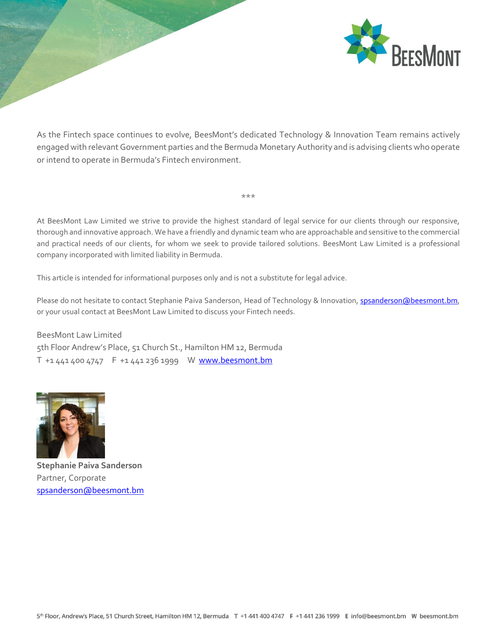

As the Fintech space continues to evolve, BeesMont's dedicated Technology & Innovation Team remains actively engaged with relevant Government parties and the Bermuda Monetary Authority and is advising clients who operate or intend to operate in Bermuda's Fintech environment.

At BeesMont Law Limited we strive to provide the highest standard of legal service for our clients through our responsive, thorough and innovative approach. We have a friendly and dynamic team who are approachable and sensitive to the commercial and practical needs of our clients, for whom we seek to provide tailored solutions. BeesMont Law Limited is a professional company incorporated with limited liability in Bermuda.

\*\*\*

This article is intended for informational purposes only and is not a substitute for legal advice.

Please do not hesitate to contact Stephanie Paiva Sanderson, Head of Technology & Innovation, [spsanderson@beesmont.bm,](mailto:spsanderson@beesmont.bm) or your usual contact at BeesMont Law Limited to discuss your Fintech needs.

BeesMont Law Limited 5th Floor Andrew's Place, 51 Church St., Hamilton HM 12, Bermuda T +1 441 400 4747 F +1 441 236 1999 W www.beesmont.bm



**Stephanie Paiva Sanderson** Partner, Corporate [spsanderson@beesmont.bm](mailto:spsanderson@beesmont.bm)